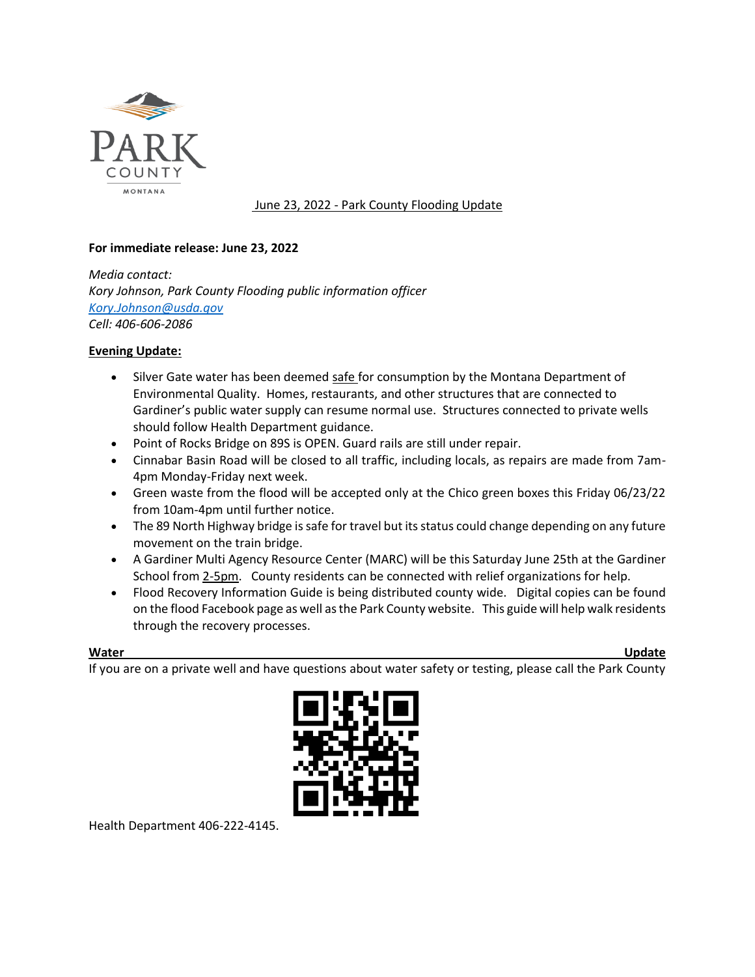

June 23, 2022 - Park County Flooding Update

## **For immediate release: June 23, 2022**

*Media contact: Kory Johnson, Park County Flooding public information officer [Kory.Johnson@usda.gov](mailto:Kory.Johnson@usda.gov) Cell: 406-606-2086*

## **Evening Update:**

- Silver Gate water has been deemed safe for consumption by the Montana Department of Environmental Quality. Homes, restaurants, and other structures that are connected to Gardiner's public water supply can resume normal use. Structures connected to private wells should follow Health Department guidance.
- Point of Rocks Bridge on 89S is OPEN. Guard rails are still under repair.
- Cinnabar Basin Road will be closed to all traffic, including locals, as repairs are made from 7am-4pm Monday-Friday next week.
- Green waste from the flood will be accepted only at the Chico green boxes this Friday 06/23/22 from 10am-4pm until further notice.
- The 89 North Highway bridge is safe for travel but its status could change depending on any future movement on the train bridge.
- A Gardiner Multi Agency Resource Center (MARC) will be this Saturday June 25th at the Gardiner School from 2-5pm. County residents can be connected with relief organizations for help.
- Flood Recovery Information Guide is being distributed county wide. Digital copies can be found on the flood Facebook page as well as the Park County website. This guide will help walk residents through the recovery processes.

**Water Update**

If you are on a private well and have questions about water safety or testing, please call the Park County



Health Department 406-222-4145.